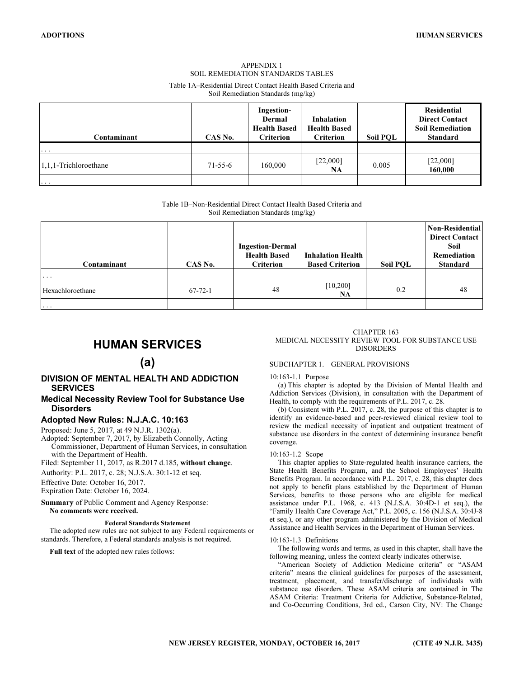## APPENDIX 1 SOIL REMEDIATION STANDARDS TABLES

Table 1A–Residential Direct Contact Health Based Criteria and Soil Remediation Standards (mg/kg)

| Contaminant              | CAS No.       | Ingestion-<br>Dermal<br><b>Health Based</b><br><b>Criterion</b> | <b>Inhalation</b><br><b>Health Based</b><br><b>Criterion</b> | Soil POL | Residential<br><b>Direct Contact</b><br><b>Soil Remediation</b><br><b>Standard</b> |
|--------------------------|---------------|-----------------------------------------------------------------|--------------------------------------------------------------|----------|------------------------------------------------------------------------------------|
| $\cdots$                 |               |                                                                 |                                                              |          |                                                                                    |
| $1,1,1$ -Trichloroethane | $71 - 55 - 6$ | 160,000                                                         | [22,000]<br>NA                                               | 0.005    | [22,000]<br>160,000                                                                |
| $\cdots$                 |               |                                                                 |                                                              |          |                                                                                    |

Table 1B–Non-Residential Direct Contact Health Based Criteria and Soil Remediation Standards (mg/kg)

| Contaminant<br>$\cdot$ $\cdot$ $\cdot$ | CAS No.       | <b>Ingestion-Dermal</b><br><b>Health Based</b><br><b>Criterion</b> | <b>Inhalation Health</b><br><b>Based Criterion</b> | Soil POL | Non-Residential<br><b>Direct Contact</b><br>Soil<br>Remediation<br><b>Standard</b> |
|----------------------------------------|---------------|--------------------------------------------------------------------|----------------------------------------------------|----------|------------------------------------------------------------------------------------|
| Hexachloroethane                       | $67 - 72 - 1$ | 48                                                                 | [10, 200]<br>NA                                    | 0.2      | 48                                                                                 |
| $\cdots$                               |               |                                                                    |                                                    |          |                                                                                    |

# $\overline{\phantom{a}}$ HUMAN SERVICES

# (a)

## DIVISION OF MENTAL HEALTH AND ADDICTION SERVICES

## Medical Necessity Review Tool for Substance Use **Disorders**

## Adopted New Rules: N.J.A.C. 10:163

Proposed: June 5, 2017, at 49 N.J.R. 1302(a).

Adopted: September 7, 2017, by Elizabeth Connolly, Acting Commissioner, Department of Human Services, in consultation with the Department of Health.

Filed: September 11, 2017, as R.2017 d.185, without change.

Authority: P.L. 2017, c. 28; N.J.S.A. 30:1-12 et seq.

Effective Date: October 16, 2017.

Expiration Date: October 16, 2024.

Summary of Public Comment and Agency Response: No comments were received.

### Federal Standards Statement

The adopted new rules are not subject to any Federal requirements or standards. Therefore, a Federal standards analysis is not required.

Full text of the adopted new rules follows:

#### CHAPTER 163 MEDICAL NECESSITY REVIEW TOOL FOR SUBSTANCE USE DISORDERS

### SUBCHAPTER 1. GENERAL PROVISIONS

### 10:163-1.1 Purpose

(a) This chapter is adopted by the Division of Mental Health and Addiction Services (Division), in consultation with the Department of Health, to comply with the requirements of P.L. 2017, c. 28.

(b) Consistent with P.L. 2017, c. 28, the purpose of this chapter is to identify an evidence-based and peer-reviewed clinical review tool to review the medical necessity of inpatient and outpatient treatment of substance use disorders in the context of determining insurance benefit coverage.

### 10:163-1.2 Scope

This chapter applies to State-regulated health insurance carriers, the State Health Benefits Program, and the School Employees' Health Benefits Program. In accordance with P.L. 2017, c. 28, this chapter does not apply to benefit plans established by the Department of Human Services, benefits to those persons who are eligible for medical assistance under P.L. 1968, c. 413 (N.J.S.A. 30:4D-1 et seq.), the "Family Health Care Coverage Act," P.L. 2005, c. 156 (N.J.S.A. 30:4J-8 et seq.), or any other program administered by the Division of Medical Assistance and Health Services in the Department of Human Services.

### 10:163-1.3 Definitions

The following words and terms, as used in this chapter, shall have the following meaning, unless the context clearly indicates otherwise.

"American Society of Addiction Medicine criteria" or "ASAM criteria" means the clinical guidelines for purposes of the assessment, treatment, placement, and transfer/discharge of individuals with substance use disorders. These ASAM criteria are contained in The ASAM Criteria: Treatment Criteria for Addictive, Substance-Related, and Co-Occurring Conditions, 3rd ed., Carson City, NV: The Change